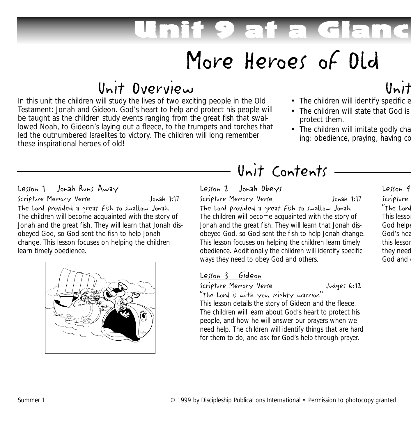# Unit 9 at a Glance

## More Heroes of Old

## Unit Overview

In this unit the children will study the lives of two exciting people in the Old Testament: Jonah and Gideon. God's heart to help and protect his people will be taught as the children study events ranging from the great fish that swallowed Noah, to Gideon's laying out a fleece, to the trumpets and torches that led the outnumbered Israelites to victory. The children will long remember these inspirational heroes of old!

## Unit

- The children will identify specific e
- The children will state that God is protect them.
- The children will imitate godly cha ing: obedience, praying, having co

#### Lesson 1 Jonah Runs Away

Scripture Memory Verse Jonah 1:17

The Lord provided a great fish to swallow Jonah. The children will become acquainted with the story of Jonah and the great fish. They will learn that Jonah disobeyed God, so God sent the fish to help Jonah change. This lesson focuses on helping the children learn timely obedience.



### Unit Contents

#### Lesson 2 Jonah Obeys

#### Scripture Memory Verse Jonah 1:17

The Lord provided a great fish to swallow Jonah. The children will become acquainted with the story of Jonah and the great fish. They will learn that Jonah disobeyed God, so God sent the fish to help Jonah change. This lesson focuses on helping the children learn timely obedience. Additionally the children will identify specific ways they need to obey God and others.

### Lesson 3 Gideon

Scripture Memory Verse Judges 6:12

"The Lord is with you, mighty warrior."

This lesson details the story of Gideon and the fleece. The children will learn about God's heart to protect his people, and how he will answer our prayers when we need help. The children will identify things that are hard for them to do, and ask for God's help through prayer.

Lesson 4 Scripture "The Lord This lesso God helpe God's hea this lesson they need God and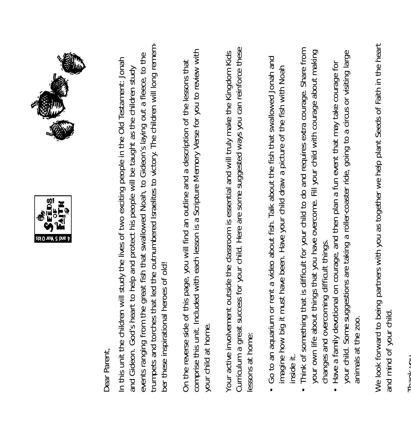



Dear Parent, Dear Parent,

trumpets and torches that led the outnumbered Israelites to victory. The children will long rememtrumpets and torches that led the outnumbered Israelites to victory. The children will long rememevents ranging from the great fish that swallowed Noah, to Gideon's laying out a fleece, to the events ranging from the great fish that swallowed Noah, to Gideon's laying out a fleece, to the In this unit the children will study the lives of two exciting people in the Old Testament: Jonah In this unit the children will study the lives of two exciting people in the Old Testament: Jonah and Gideon. God's heart to help and protect his people will be taught as the children study and Gideon. God's heart to help and protect his people will be taught as the children study ber these inspirational heroes of old! ber these inspirational heroes of old!

comprise this unit. Included with each lesson is a Scripture Memory Verse for you to review with comprise this unit. Included with each lesson is a Scripture Memory Verse for you to review with On the reverse side of this page, you will find an outline and a description of the lessons that On the reverse side of this page, you will find an outline and a description of the lessons that your child at home. your child at home.

Curriculum a great success for your child. Here are some suggested ways you can reinforce these Curriculum a great success for your child. Here are some suggested ways you can reinforce these Your active involvement outside the classroom is essential and will truly make the Kingdom Kids Your active involvement outside the classroom is essential and will truly make the Kingdom Kids essons at home: lessons at home:

- Go to an aquarium or rent a video about fish. Talk about the fish that swallowed Jonah and • Go to an aquarium or rent a video about fish. Talk about the fish that swallowed Jonah and imagine how big it must have been. Have your child draw a picture of the fish with Noah imagine how big it must have been. Have your child draw a picture of the fish with Noah inside it.
- Think of something that is difficult for your child to do and requires extra courage. Share from • Think of something that is difficult for your child to do and requires extra courage. Share from your own life about things that you have overcome. Fill your child with courage about making your own life about things that you have overcome. Fill your child with courage about making changes and overcoming difficult things. changes and overcoming difficult things.
	- your child. Some suggestions are taking a roller-coaster ride, going to a circus or visiting large your child. Some suggestions are taking a roller-coaster ride, going to a circus or visiting large • Have a family devotional on courage, and then plan a fun event that may take courage for Have a family devotional on courage, and then plan a fun event that may take courage for animals at the zoo. animals at the zoo.  $\bullet$

We look forward to being partners with you as together we help plant Seeds of Faith in the heart We look forward to being partners with you as together we help plant Seeds of Faith in the heart and mind of your child. and mind of your child.

Thank you